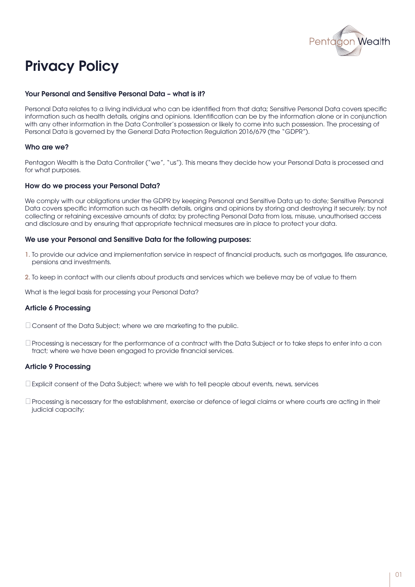

# Privacy Policy

#### Your Personal and Sensitive Personal Data – what is it?

Personal Data relates to a living individual who can be identified from that data; Sensitive Personal Data covers specific information such as health details, origins and opinions. Identification can be by the information alone or in conjunction with any other information in the Data Controller's possession or likely to come into such possession. The processing of Personal Data is governed by the General Data Protection Regulation 2016/679 (the "GDPR").

#### Who are we?

Pentagon Wealth is the Data Controller ("we", "us"). This means they decide how your Personal Data is processed and for what purposes.

#### How do we process your Personal Data?

We comply with our obligations under the GDPR by keeping Personal and Sensitive Data up to date; Sensitive Personal Data covers specific information such as health details, origins and opinions by storing and destroying it securely; by not collecting or retaining excessive amounts of data; by protecting Personal Data from loss, misuse, unauthorised access and disclosure and by ensuring that appropriate technical measures are in place to protect your data.

#### We use your Personal and Sensitive Data for the following purposes:

- 1. To provide our advice and implementation service in respect of financial products, such as mortgages, life assurance, pensions and investments.
- 2. To keep in contact with our clients about products and services which we believe may be of value to them

What is the legal basis for processing your Personal Data?

# Article 6 Processing

Consent of the Data Subject; where we are marketing to the public.

Processing is necessary for the performance of a contract with the Data Subject or to take steps to enter into a con tract; where we have been engaged to provide financial services.

#### Article 9 Processing

 $\Box$  Explicit consent of the Data Subject; where we wish to tell people about events, news, services

Processing is necessary for the establishment, exercise or defence of legal claims or where courts are acting in their judicial capacity;